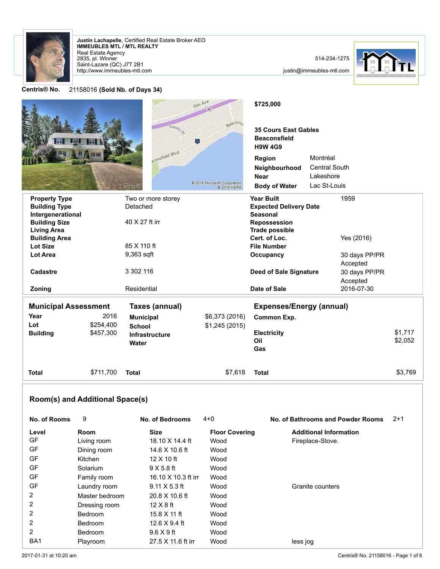

http://www.immeubles-mtl.com Saint-Lazare (QC) J7T 2B1 2835, pl. Winner Real Estate Agency **IMMEUBLES MTL / MTL REALTY Justin Lachapelle**, Certified Real Estate Broker AEO

514-234-1275

justin@immeubles-mtl.com



**Centris® No.** 21158016 **(Sold Nb. of Days 34)**

|                                                             | Susse+Or<br>sconsfield Blvd<br><b>Centric®</b> | Elm Ave<br>Beacon <sub>s</sub><br>U<br>2016 Microsoft Corporation<br>@ 2016 HERE | \$725,000<br><b>35 Cours East Gables</b><br><b>Beaconsfield</b><br><b>H9W 4G9</b><br>Region<br>Neighbourhood<br><b>Near</b><br><b>Body of Water</b> | Montréal<br><b>Central South</b><br>Lakeshore<br>Lac St-Louis |                    |  |
|-------------------------------------------------------------|------------------------------------------------|----------------------------------------------------------------------------------|-----------------------------------------------------------------------------------------------------------------------------------------------------|---------------------------------------------------------------|--------------------|--|
| <b>Property Type</b>                                        | Two or more storey                             |                                                                                  | <b>Year Built</b>                                                                                                                                   | 1959                                                          |                    |  |
| <b>Building Type</b>                                        | Detached                                       |                                                                                  | <b>Expected Delivery Date</b>                                                                                                                       |                                                               |                    |  |
| Intergenerational<br>40 X 27 ft irr<br><b>Building Size</b> |                                                |                                                                                  | <b>Seasonal</b><br>Repossession                                                                                                                     |                                                               |                    |  |
| <b>Living Area</b>                                          |                                                |                                                                                  | <b>Trade possible</b>                                                                                                                               |                                                               |                    |  |
| <b>Building Area</b>                                        |                                                |                                                                                  | Cert. of Loc.                                                                                                                                       | Yes (2016)                                                    |                    |  |
| <b>Lot Size</b>                                             | 85 X 110 ft                                    |                                                                                  | <b>File Number</b>                                                                                                                                  |                                                               |                    |  |
| <b>Lot Area</b>                                             | 9,363 sqft                                     |                                                                                  | Occupancy                                                                                                                                           | 30 days PP/PR                                                 |                    |  |
| Cadastre                                                    | 3 302 116                                      |                                                                                  |                                                                                                                                                     | Accepted                                                      |                    |  |
|                                                             |                                                |                                                                                  | <b>Deed of Sale Signature</b>                                                                                                                       | 30 days PP/PR<br>Accepted                                     |                    |  |
| Zoning                                                      | Residential                                    |                                                                                  | Date of Sale                                                                                                                                        | 2016-07-30                                                    |                    |  |
|                                                             |                                                |                                                                                  |                                                                                                                                                     |                                                               |                    |  |
| <b>Municipal Assessment</b><br>Taxes (annual)               |                                                |                                                                                  | <b>Expenses/Energy (annual)</b>                                                                                                                     |                                                               |                    |  |
| 2016<br>Year                                                | <b>Municipal</b>                               | \$6,373 (2016)                                                                   | Common Exp.                                                                                                                                         |                                                               |                    |  |
| \$254,400<br>Lot                                            | <b>School</b>                                  | \$1,245 (2015)                                                                   |                                                                                                                                                     |                                                               |                    |  |
| \$457,300<br><b>Building</b>                                | <b>Infrastructure</b>                          |                                                                                  | <b>Electricity</b><br>Oil                                                                                                                           |                                                               | \$1,717<br>\$2,052 |  |
|                                                             | Water                                          |                                                                                  | Gas                                                                                                                                                 |                                                               |                    |  |
| \$711,700<br><b>Total</b>                                   | <b>Total</b>                                   | \$7,618                                                                          | <b>Total</b>                                                                                                                                        |                                                               | \$3,769            |  |

# **Room(s) and Additional Space(s)**

| No. of Rooms    | 9              | <b>No. of Bedrooms</b> | $4 + 0$               | No. of Bathrooms and Powder Rooms | $2+1$ |
|-----------------|----------------|------------------------|-----------------------|-----------------------------------|-------|
| Level           | <b>Room</b>    | <b>Size</b>            | <b>Floor Covering</b> | <b>Additional Information</b>     |       |
| GF              | Living room    | 18.10 X 14.4 ft        | Wood                  | Fireplace-Stove.                  |       |
| GF              | Dining room    | 14.6 X 10.6 ft         | Wood                  |                                   |       |
| GF              | Kitchen        | $12 \times 10$ ft      | Wood                  |                                   |       |
| GF              | Solarium       | $9 \times 5.8$ ft      | Wood                  |                                   |       |
| GF              | Family room    | 16.10 X 10.3 ft irr    | Wood                  |                                   |       |
| GF              | Laundry room   | $9.11 \times 5.3$ ft   | Wood                  | Granite counters                  |       |
| 2               | Master bedroom | 20.8 X 10.6 ft         | Wood                  |                                   |       |
| 2               | Dressing room  | $12 \times 8$ ft       | Wood                  |                                   |       |
| 2               | <b>Bedroom</b> | 15.8 X 11 ft           | Wood                  |                                   |       |
| 2               | <b>Bedroom</b> | 12.6 $\times$ 9.4 ft   | Wood                  |                                   |       |
| $\overline{2}$  | <b>Bedroom</b> | $9.6 \times 9$ ft      | Wood                  |                                   |       |
| BA <sub>1</sub> | Playroom       | 27.5 X 11.6 ft irr     | Wood                  | less jog                          |       |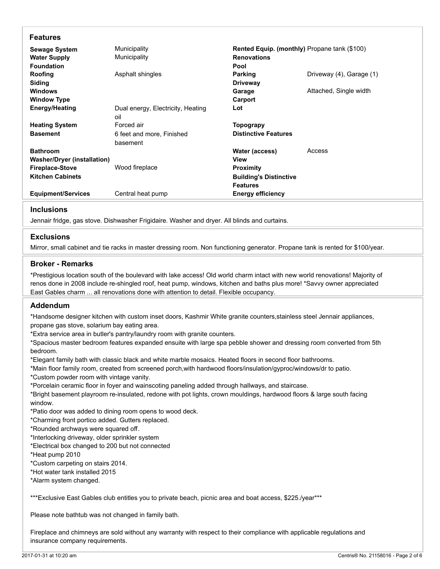| <b>Features</b>                    |                                   |                                              |                          |
|------------------------------------|-----------------------------------|----------------------------------------------|--------------------------|
| <b>Sewage System</b>               | Municipality                      | Rented Equip. (monthly) Propane tank (\$100) |                          |
| <b>Water Supply</b>                | Municipality                      | <b>Renovations</b>                           |                          |
| <b>Foundation</b>                  |                                   | Pool                                         |                          |
| Roofing                            | Asphalt shingles                  | Parking                                      | Driveway (4), Garage (1) |
| Siding                             |                                   | <b>Driveway</b>                              |                          |
| <b>Windows</b>                     |                                   | Garage                                       | Attached, Single width   |
| <b>Window Type</b>                 |                                   | Carport                                      |                          |
| <b>Energy/Heating</b>              | Dual energy, Electricity, Heating | Lot                                          |                          |
|                                    | oil                               |                                              |                          |
| <b>Heating System</b>              | Forced air                        | <b>Topograpy</b>                             |                          |
| <b>Basement</b>                    | 6 feet and more, Finished         | <b>Distinctive Features</b>                  |                          |
|                                    | basement                          |                                              |                          |
| <b>Bathroom</b>                    |                                   | Water (access)                               | Access                   |
| <b>Washer/Dryer (installation)</b> |                                   | <b>View</b>                                  |                          |
| <b>Fireplace-Stove</b>             | Wood fireplace                    | <b>Proximity</b>                             |                          |
| <b>Kitchen Cabinets</b>            |                                   | <b>Building's Distinctive</b>                |                          |
|                                    |                                   | <b>Features</b>                              |                          |
| <b>Equipment/Services</b>          | Central heat pump                 | <b>Energy efficiency</b>                     |                          |
|                                    |                                   |                                              |                          |

### **Inclusions**

Jennair fridge, gas stove. Dishwasher Frigidaire. Washer and dryer. All blinds and curtains.

#### **Exclusions**

Mirror, small cabinet and tie racks in master dressing room. Non functioning generator. Propane tank is rented for \$100/year.

#### **Broker - Remarks**

\*Prestigious location south of the boulevard with lake access! Old world charm intact with new world renovations! Majority of renos done in 2008 include re-shingled roof, heat pump, windows, kitchen and baths plus more! \*Savvy owner appreciated East Gables charm ... all renovations done with attention to detail. Flexible occupancy.

#### **Addendum**

\*Handsome designer kitchen with custom inset doors, Kashmir White granite counters,stainless steel Jennair appliances, propane gas stove, solarium bay eating area.

\*Extra service area in butler's pantry/laundry room with granite counters.

\*Spacious master bedroom features expanded ensuite with large spa pebble shower and dressing room converted from 5th bedroom.

\*Elegant family bath with classic black and white marble mosaics. Heated floors in second floor bathrooms.

\*Main floor family room, created from screened porch,with hardwood floors/insulation/gyproc/windows/dr to patio.

\*Custom powder room with vintage vanity.

\*Porcelain ceramic floor in foyer and wainscoting paneling added through hallways, and staircase.

\*Bright basement playroom re-insulated, redone with pot lights, crown mouldings, hardwood floors & large south facing window.

\*Patio door was added to dining room opens to wood deck.

\*Charming front portico added. Gutters replaced.

\*Rounded archways were squared off.

\*Interlocking driveway, older sprinkler system

\*Electrical box changed to 200 but not connected

\*Heat pump 2010

\*Custom carpeting on stairs 2014.

\*Hot water tank installed 2015

\*Alarm system changed.

\*\*\*Exclusive East Gables club entitles you to private beach, picnic area and boat access, \$225./year\*\*\*

Please note bathtub was not changed in family bath.

Fireplace and chimneys are sold without any warranty with respect to their compliance with applicable regulations and insurance company requirements.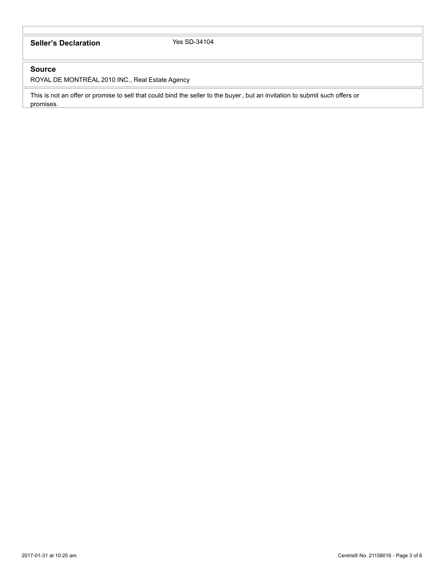# Seller's Declaration Yes SD-34104

## **Source**

ROYAL DE MONTRÉAL 2010 INC., Real Estate Agency

This is not an offer or promise to sell that could bind the seller to the buyer, but an invitation to submit such offers or promises.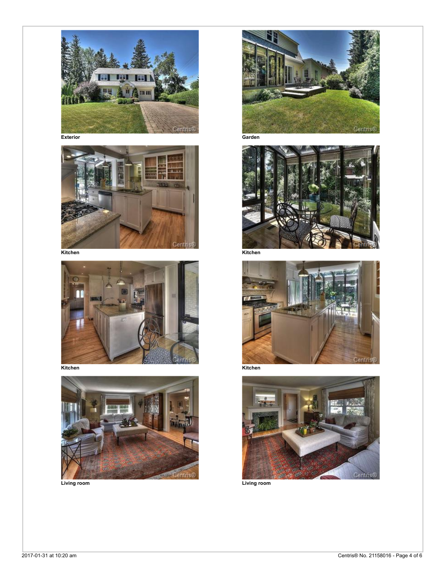

**Exterior Garden**













**Kitchen Kitchen**

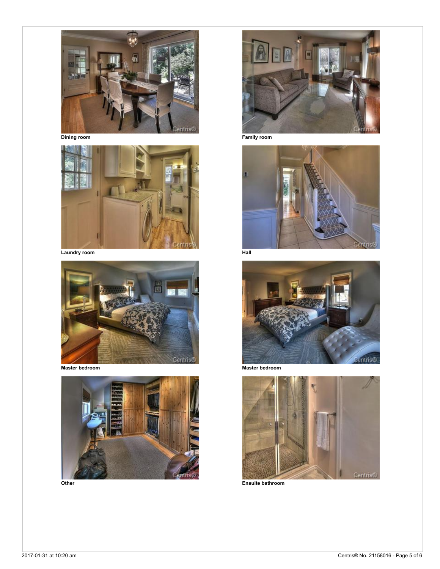